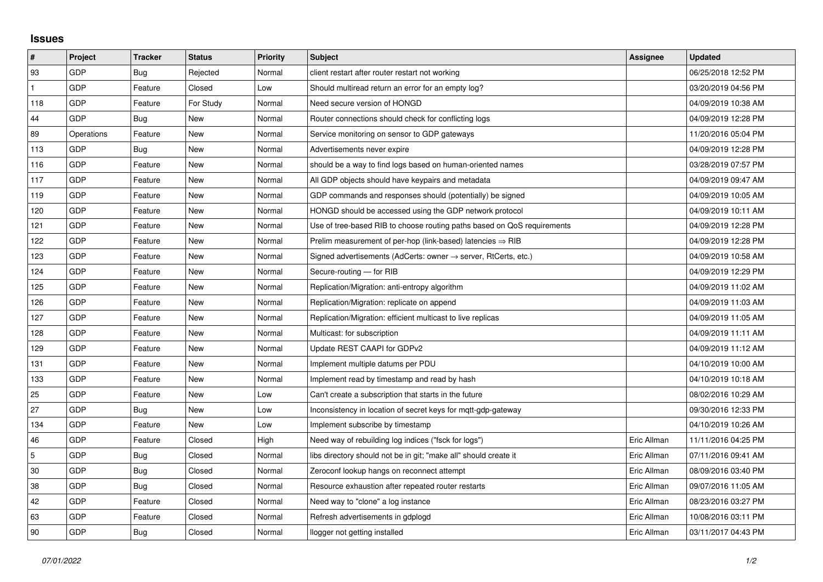## **Issues**

| $\sharp$       | Project    | <b>Tracker</b> | <b>Status</b> | <b>Priority</b> | <b>Subject</b>                                                             | Assignee    | <b>Updated</b>      |
|----------------|------------|----------------|---------------|-----------------|----------------------------------------------------------------------------|-------------|---------------------|
| 93             | GDP        | Bug            | Rejected      | Normal          | client restart after router restart not working                            |             | 06/25/2018 12:52 PM |
| $\mathbf{1}$   | GDP        | Feature        | Closed        | Low             | Should multiread return an error for an empty log?                         |             | 03/20/2019 04:56 PM |
| 118            | GDP        | Feature        | For Study     | Normal          | Need secure version of HONGD                                               |             | 04/09/2019 10:38 AM |
| 44             | GDP        | Bug            | New           | Normal          | Router connections should check for conflicting logs                       |             | 04/09/2019 12:28 PM |
| 89             | Operations | Feature        | New           | Normal          | Service monitoring on sensor to GDP gateways                               |             | 11/20/2016 05:04 PM |
| 113            | GDP        | Bug            | New           | Normal          | Advertisements never expire                                                |             | 04/09/2019 12:28 PM |
| 116            | GDP        | Feature        | New           | Normal          | should be a way to find logs based on human-oriented names                 |             | 03/28/2019 07:57 PM |
| 117            | GDP        | Feature        | New           | Normal          | All GDP objects should have keypairs and metadata                          |             | 04/09/2019 09:47 AM |
| 119            | GDP        | Feature        | New           | Normal          | GDP commands and responses should (potentially) be signed                  |             | 04/09/2019 10:05 AM |
| 120            | GDP        | Feature        | New           | Normal          | HONGD should be accessed using the GDP network protocol                    |             | 04/09/2019 10:11 AM |
| 121            | GDP        | Feature        | New           | Normal          | Use of tree-based RIB to choose routing paths based on QoS requirements    |             | 04/09/2019 12:28 PM |
| 122            | GDP        | Feature        | New           | Normal          | Prelim measurement of per-hop (link-based) latencies $\Rightarrow$ RIB     |             | 04/09/2019 12:28 PM |
| 123            | GDP        | Feature        | New           | Normal          | Signed advertisements (AdCerts: owner $\rightarrow$ server, RtCerts, etc.) |             | 04/09/2019 10:58 AM |
| 124            | GDP        | Feature        | New           | Normal          | Secure-routing - for RIB                                                   |             | 04/09/2019 12:29 PM |
| 125            | GDP        | Feature        | New           | Normal          | Replication/Migration: anti-entropy algorithm                              |             | 04/09/2019 11:02 AM |
| 126            | GDP        | Feature        | New           | Normal          | Replication/Migration: replicate on append                                 |             | 04/09/2019 11:03 AM |
| 127            | GDP        | Feature        | New           | Normal          | Replication/Migration: efficient multicast to live replicas                |             | 04/09/2019 11:05 AM |
| 128            | <b>GDP</b> | Feature        | New           | Normal          | Multicast: for subscription                                                |             | 04/09/2019 11:11 AM |
| 129            | GDP        | Feature        | New           | Normal          | Update REST CAAPI for GDPv2                                                |             | 04/09/2019 11:12 AM |
| 131            | GDP        | Feature        | New           | Normal          | Implement multiple datums per PDU                                          |             | 04/10/2019 10:00 AM |
| 133            | <b>GDP</b> | Feature        | New           | Normal          | Implement read by timestamp and read by hash                               |             | 04/10/2019 10:18 AM |
| 25             | GDP        | Feature        | New           | Low             | Can't create a subscription that starts in the future                      |             | 08/02/2016 10:29 AM |
| 27             | GDP        | Bug            | New           | Low             | Inconsistency in location of secret keys for mgtt-gdp-gateway              |             | 09/30/2016 12:33 PM |
| 134            | GDP        | Feature        | New           | Low             | Implement subscribe by timestamp                                           |             | 04/10/2019 10:26 AM |
| 46             | GDP        | Feature        | Closed        | High            | Need way of rebuilding log indices ("fsck for logs")                       | Eric Allman | 11/11/2016 04:25 PM |
| $\overline{5}$ | GDP        | Bug            | Closed        | Normal          | libs directory should not be in git; "make all" should create it           | Eric Allman | 07/11/2016 09:41 AM |
| 30             | GDP        | Bug            | Closed        | Normal          | Zeroconf lookup hangs on reconnect attempt                                 | Eric Allman | 08/09/2016 03:40 PM |
| 38             | GDP        | Bug            | Closed        | Normal          | Resource exhaustion after repeated router restarts                         | Eric Allman | 09/07/2016 11:05 AM |
| 42             | GDP        | Feature        | Closed        | Normal          | Need way to "clone" a log instance                                         | Eric Allman | 08/23/2016 03:27 PM |
| 63             | GDP        | Feature        | Closed        | Normal          | Refresh advertisements in gdplogd                                          | Eric Allman | 10/08/2016 03:11 PM |
| 90             | GDP        | Bug            | Closed        | Normal          | llogger not getting installed                                              | Eric Allman | 03/11/2017 04:43 PM |